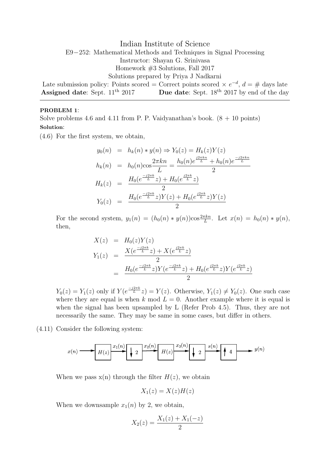Indian Institute of Science E9−252: Mathematical Methods and Techniques in Signal Processing Instructor: Shayan G. Srinivasa Homework #3 Solutions, Fall 2017 Solutions prepared by Priya J Nadkarni Late submission policy: Points scored = Correct points scored  $\times e^{-d}$ ,  $d = \#$  days late Assigned date: Sept. 11<sup>th</sup> 2017 Due date: Sept. 18<sup>th</sup> 2017 by end of the day

## PROBLEM 1:

Solve problems 4.6 and 4.11 from P. P. Vaidyanathan's book.  $(8 + 10 \text{ points})$ Solution:

(4.6) For the first system, we obtain,

$$
y_0(n) = h_k(n) * y(n) \Rightarrow Y_0(z) = H_k(z)Y(z)
$$
  
\n
$$
h_k(n) = h_0(n)\cos\frac{2\pi k n}{L} = \frac{h_0(n)e^{\frac{j2\pi k n}{L}} + h_0(n)e^{\frac{-j2\pi k n}{L}}}{2}
$$
  
\n
$$
H_k(z) = \frac{H_0(e^{\frac{-j2\pi k}{L}}z) + H_0(e^{\frac{j2\pi k}{L}}z)}{2}
$$
  
\n
$$
Y_0(z) = \frac{H_0(e^{\frac{-j2\pi k}{L}}z)Y(z) + H_0(e^{\frac{j2\pi k}{L}}z)Y(z)}{2}
$$

For the second system,  $y_1(n) = (h_0(n) * y(n))\cos\frac{2\pi kn}{L}$ . Let  $x(n) = h_0(n) * y(n)$ , then,

$$
X(z) = H_0(z)Y(z)
$$
  
\n
$$
Y_1(z) = \frac{X(e^{\frac{-j2\pi k}{L}}z) + X(e^{\frac{j2\pi k}{L}}z)}{2}
$$
  
\n
$$
= \frac{H_0(e^{\frac{-j2\pi k}{L}}z)Y(e^{\frac{-j2\pi k}{L}}z) + H_0(e^{\frac{j2\pi k}{L}}z)Y(e^{\frac{j2\pi k}{L}}z)}{2}
$$

 $Y_0(z) = Y_1(z)$  only if  $Y(e^{\frac{-j2\pi k}{L}}z) = Y(z)$ . Otherwise,  $Y_1(z) \neq Y_0(z)$ . One such case where they are equal is when k mod  $L = 0$ . Another example where it is equal is when the signal has been upsampled by L (Refer Prob 4.5). Thus, they are not necessarily the same. They may be same in some cases, but differ in others.

(4.11) Consider the following system:

When we pass  $x(n)$  through the filter  $H(z)$ , we obtain

$$
X_1(z) = X(z)H(z)
$$

When we downsample  $x_1(n)$  by 2, we obtain,

$$
X_2(z) = \frac{X_1(z) + X_1(-z)}{2}
$$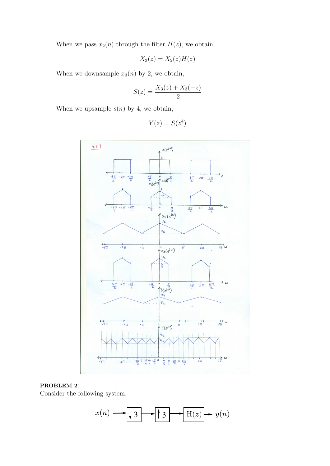When we pass  $x_2(n)$  through the filter  $H(z)$ , we obtain,

$$
X_3(z) = X_2(z)H(z)
$$

When we downsample  $x_3(n)$  by 2, we obtain,

$$
S(z) = \frac{X_3(z) + X_3(-z)}{2}
$$

When we upsample  $s(n)$  by 4, we obtain,

$$
Y(z) = S(z^4)
$$



PROBLEM 2:

Consider the following system:

$$
x(n) \longrightarrow 3 \longrightarrow 13 \longrightarrow H(z) \longrightarrow y(n)
$$